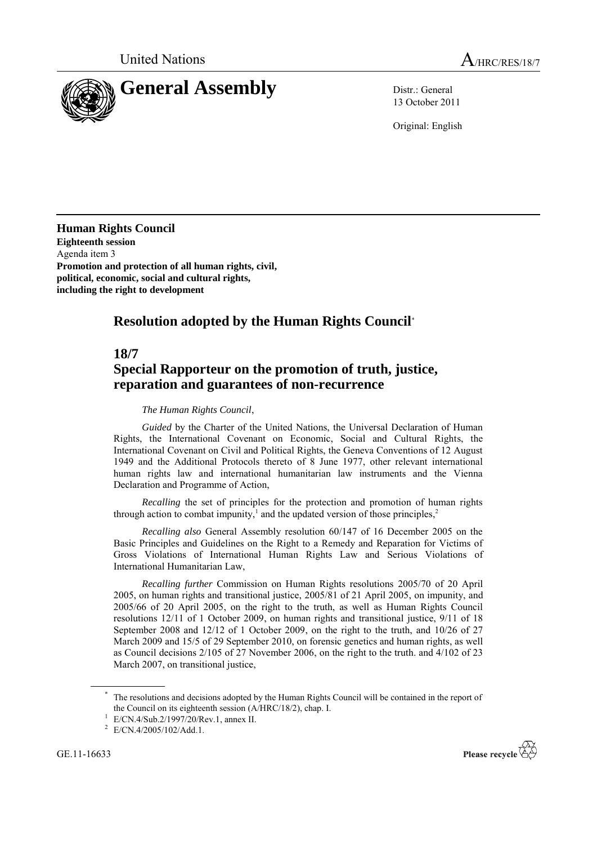

13 October 2011

Original: English

**Human Rights Council Eighteenth session** Agenda item 3 **Promotion and protection of all human rights, civil, political, economic, social and cultural rights, including the right to development**

## **Resolution adopted by the Human Rights Council**\*

## **18/7**

## **Special Rapporteur on the promotion of truth, justice, reparation and guarantees of non-recurrence**

## *The Human Rights Council*,

*Guided* by the Charter of the United Nations, the Universal Declaration of Human Rights, the International Covenant on Economic, Social and Cultural Rights, the International Covenant on Civil and Political Rights, the Geneva Conventions of 12 August 1949 and the Additional Protocols thereto of 8 June 1977, other relevant international human rights law and international humanitarian law instruments and the Vienna Declaration and Programme of Action,

*Recalling* the set of principles for the protection and promotion of human rights through action to combat impunity, 1 and the updated version of those principles, 2

*Recalling also* General Assembly resolution 60/147 of 16 December 2005 on the Basic Principles and Guidelines on the Right to a Remedy and Reparation for Victims of Gross Violations of International Human Rights Law and Serious Violations of International Humanitarian Law,

*Recalling further* Commission on Human Rights resolutions 2005/70 of 20 April 2005, on human rights and transitional justice, 2005/81 of 21 April 2005, on impunity, and 2005/66 of 20 April 2005, on the right to the truth, as well as Human Rights Council resolutions 12/11 of 1 October 2009, on human rights and transitional justice, 9/11 of 18 September 2008 and 12/12 of 1 October 2009, on the right to the truth, and 10/26 of 27 March 2009 and 15/5 of 29 September 2010, on forensic genetics and human rights, as well as Council decisions 2/105 of 27 November 2006, on the right to the truth. and 4/102 of 23 March 2007, on transitional justice,

GE.11-16633



The resolutions and decisions adopted by the Human Rights Council will be contained in the report of the Council on its eighteenth session (A/HRC/18/2), chap. I.

<sup>1</sup> E/CN.4/Sub.2/1997/20/Rev.1, annex II.

<sup>2</sup> E/CN.4/2005/102/Add.1.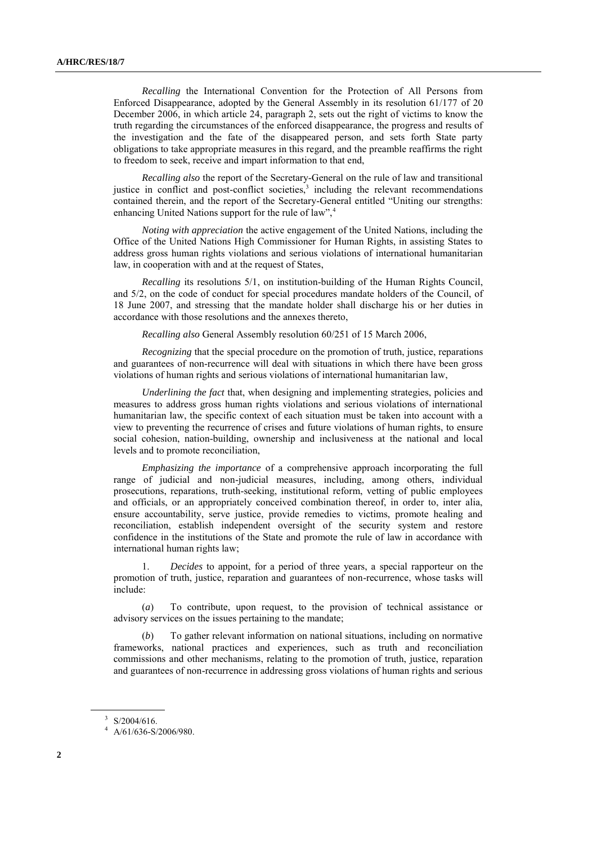*Recalling* the International Convention for the Protection of All Persons from Enforced Disappearance, adopted by the General Assembly in its resolution 61/177 of 20 December 2006, in which article 24, paragraph 2, sets out the right of victims to know the truth regarding the circumstances of the enforced disappearance, the progress and results of the investigation and the fate of the disappeared person, and sets forth State party obligations to take appropriate measures in this regard, and the preamble reaffirms the right to freedom to seek, receive and impart information to that end,

*Recalling also* the report of the Secretary-General on the rule of law and transitional justice in conflict and post-conflict societies,<sup>3</sup> including the relevant recommendations contained therein, and the report of the Secretary-General entitled "Uniting our strengths: enhancing United Nations support for the rule of law",<sup>4</sup>

*Noting with appreciation* the active engagement of the United Nations, including the Office of the United Nations High Commissioner for Human Rights, in assisting States to address gross human rights violations and serious violations of international humanitarian law, in cooperation with and at the request of States,

*Recalling* its resolutions 5/1, on institution-building of the Human Rights Council, and 5/2, on the code of conduct for special procedures mandate holders of the Council, of 18 June 2007, and stressing that the mandate holder shall discharge his or her duties in accordance with those resolutions and the annexes thereto,

*Recalling also* General Assembly resolution 60/251 of 15 March 2006,

*Recognizing* that the special procedure on the promotion of truth, justice, reparations and guarantees of non-recurrence will deal with situations in which there have been gross violations of human rights and serious violations of international humanitarian law,

*Underlining the fact* that, when designing and implementing strategies, policies and measures to address gross human rights violations and serious violations of international humanitarian law, the specific context of each situation must be taken into account with a view to preventing the recurrence of crises and future violations of human rights, to ensure social cohesion, nation-building, ownership and inclusiveness at the national and local levels and to promote reconciliation,

*Emphasizing the importance* of a comprehensive approach incorporating the full range of judicial and non-judicial measures, including, among others, individual prosecutions, reparations, truth-seeking, institutional reform, vetting of public employees and officials, or an appropriately conceived combination thereof, in order to, inter alia, ensure accountability, serve justice, provide remedies to victims, promote healing and reconciliation, establish independent oversight of the security system and restore confidence in the institutions of the State and promote the rule of law in accordance with international human rights law;

1. *Decides* to appoint, for a period of three years, a special rapporteur on the promotion of truth, justice, reparation and guarantees of non-recurrence, whose tasks will include:

(*a*) To contribute, upon request, to the provision of technical assistance or advisory services on the issues pertaining to the mandate;

(*b*) To gather relevant information on national situations, including on normative frameworks, national practices and experiences, such as truth and reconciliation commissions and other mechanisms, relating to the promotion of truth, justice, reparation and guarantees of non-recurrence in addressing gross violations of human rights and serious

 $3$  S/2004/616.

 $4$  A/61/636-S/2006/980.